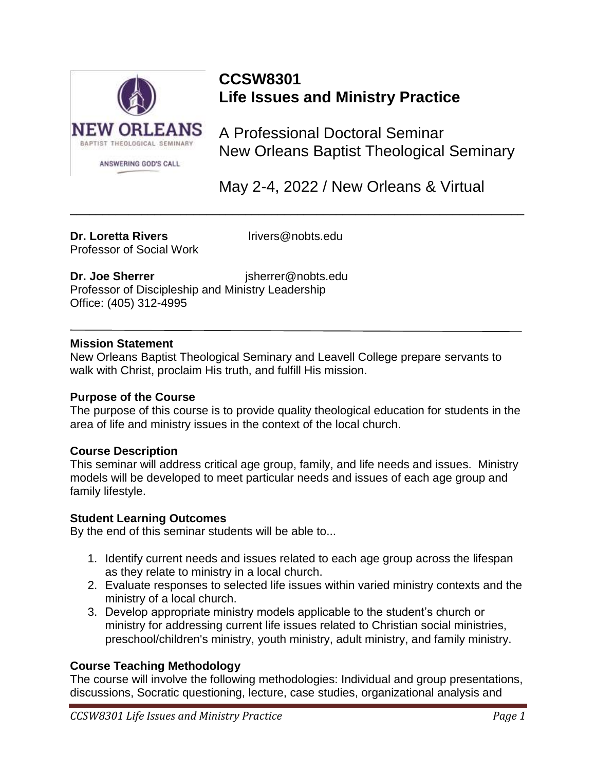

# **CCSW8301 Life Issues and Ministry Practice**

A Professional Doctoral Seminar New Orleans Baptist Theological Seminary

May 2-4, 2022 / New Orleans & Virtual

#### **Dr. Loretta Rivers** lrivers@nobts.edu Professor of Social Work

\_\_\_\_\_\_\_\_\_\_\_\_\_\_\_\_\_\_\_\_\_\_\_\_\_\_\_\_\_\_\_\_\_\_\_\_\_\_\_\_\_\_\_\_\_\_\_\_\_\_\_\_\_\_\_\_\_\_\_\_\_\_\_\_\_\_\_\_\_\_

**Dr. Joe Sherrer** isherrer@nobts.edu Professor of Discipleship and Ministry Leadership Office: (405) 312-4995

#### **Mission Statement**

New Orleans Baptist Theological Seminary and Leavell College prepare servants to walk with Christ, proclaim His truth, and fulfill His mission.

#### **Purpose of the Course**

The purpose of this course is to provide quality theological education for students in the area of life and ministry issues in the context of the local church.

#### **Course Description**

This seminar will address critical age group, family, and life needs and issues. Ministry models will be developed to meet particular needs and issues of each age group and family lifestyle.

#### **Student Learning Outcomes**

By the end of this seminar students will be able to...

- 1. Identify current needs and issues related to each age group across the lifespan as they relate to ministry in a local church.
- 2. Evaluate responses to selected life issues within varied ministry contexts and the ministry of a local church.
- 3. Develop appropriate ministry models applicable to the student's church or ministry for addressing current life issues related to Christian social ministries, preschool/children's ministry, youth ministry, adult ministry, and family ministry.

#### **Course Teaching Methodology**

The course will involve the following methodologies: Individual and group presentations, discussions, Socratic questioning, lecture, case studies, organizational analysis and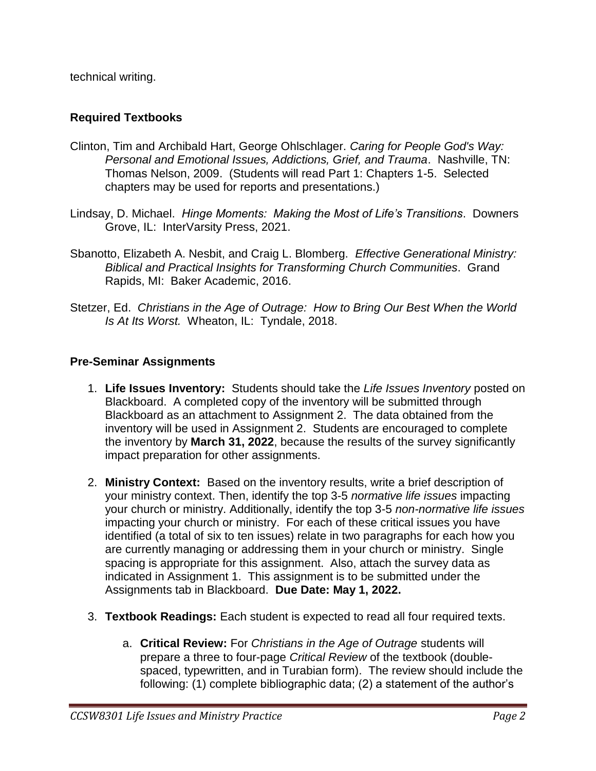technical writing.

#### **Required Textbooks**

- Clinton, Tim and Archibald Hart, George Ohlschlager. *Caring for People God's Way: Personal and Emotional Issues, Addictions, Grief, and Trauma*. Nashville, TN: Thomas Nelson, 2009. (Students will read Part 1: Chapters 1-5. Selected chapters may be used for reports and presentations.)
- Lindsay, D. Michael. *Hinge Moments: Making the Most of Life's Transitions*. Downers Grove, IL: InterVarsity Press, 2021.
- Sbanotto, Elizabeth A. Nesbit, and Craig L. Blomberg. *Effective Generational Ministry: Biblical and Practical Insights for Transforming Church Communities*. Grand Rapids, MI: Baker Academic, 2016.
- Stetzer, Ed. *Christians in the Age of Outrage: How to Bring Our Best When the World Is At Its Worst.* Wheaton, IL: Tyndale, 2018.

#### **Pre-Seminar Assignments**

- 1. **Life Issues Inventory:** Students should take the *Life Issues Inventory* posted on Blackboard. A completed copy of the inventory will be submitted through Blackboard as an attachment to Assignment 2. The data obtained from the inventory will be used in Assignment 2. Students are encouraged to complete the inventory by **March 31, 2022**, because the results of the survey significantly impact preparation for other assignments.
- 2. **Ministry Context:** Based on the inventory results, write a brief description of your ministry context. Then, identify the top 3-5 *normative life issues* impacting your church or ministry. Additionally, identify the top 3-5 *non-normative life issues* impacting your church or ministry. For each of these critical issues you have identified (a total of six to ten issues) relate in two paragraphs for each how you are currently managing or addressing them in your church or ministry.Single spacing is appropriate for this assignment. Also, attach the survey data as indicated in Assignment 1. This assignment is to be submitted under the Assignments tab in Blackboard. **Due Date: May 1, 2022.**
- 3. **Textbook Readings:** Each student is expected to read all four required texts.
	- a. **Critical Review:** For *Christians in the Age of Outrage* students will prepare a three to four-page *Critical Review* of the textbook (doublespaced, typewritten, and in Turabian form). The review should include the following: (1) complete bibliographic data; (2) a statement of the author's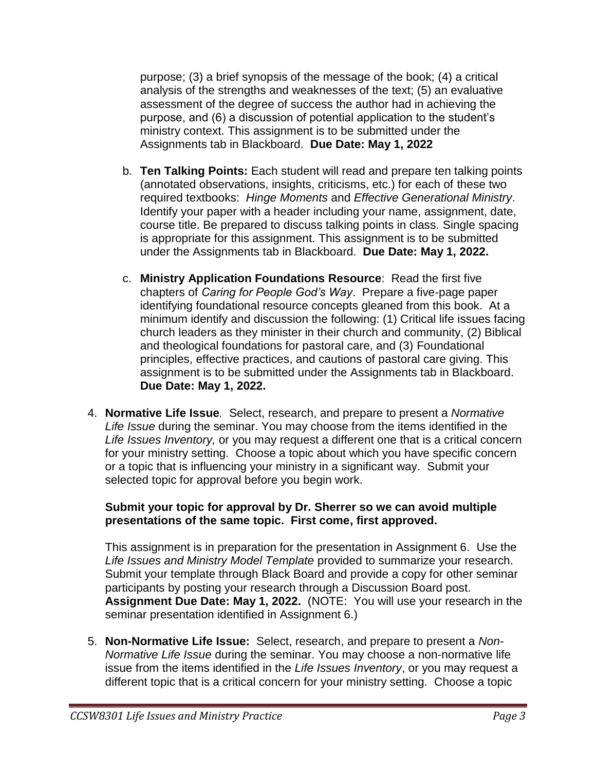purpose; (3) a brief synopsis of the message of the book; (4) a critical analysis of the strengths and weaknesses of the text; (5) an evaluative assessment of the degree of success the author had in achieving the purpose, and (6) a discussion of potential application to the student's ministry context. This assignment is to be submitted under the Assignments tab in Blackboard. **Due Date: May 1, 2022**

- b. **Ten Talking Points:** Each student will read and prepare ten talking points (annotated observations, insights, criticisms, etc.) for each of these two required textbooks: *Hinge Moments* and *Effective Generational Ministry*. Identify your paper with a header including your name, assignment, date, course title. Be prepared to discuss talking points in class. Single spacing is appropriate for this assignment. This assignment is to be submitted under the Assignments tab in Blackboard. **Due Date: May 1, 2022.**
- c. **Ministry Application Foundations Resource**: Read the first five chapters of *Caring for People God's Way*. Prepare a five-page paper identifying foundational resource concepts gleaned from this book. At a minimum identify and discussion the following: (1) Critical life issues facing church leaders as they minister in their church and community, (2) Biblical and theological foundations for pastoral care, and (3) Foundational principles, effective practices, and cautions of pastoral care giving. This assignment is to be submitted under the Assignments tab in Blackboard. **Due Date: May 1, 2022.**
- 4. **Normative Life Issue***.* Select, research, and prepare to present a *Normative Life Issue* during the seminar. You may choose from the items identified in the *Life Issues Inventory,* or you may request a different one that is a critical concern for your ministry setting. Choose a topic about which you have specific concern or a topic that is influencing your ministry in a significant way. Submit your selected topic for approval before you begin work.

#### **Submit your topic for approval by Dr. Sherrer so we can avoid multiple presentations of the same topic. First come, first approved.**

This assignment is in preparation for the presentation in Assignment 6. Use the *Life Issues and Ministry Model Template* provided to summarize your research. Submit your template through Black Board and provide a copy for other seminar participants by posting your research through a Discussion Board post. **Assignment Due Date: May 1, 2022.** (NOTE: You will use your research in the seminar presentation identified in Assignment 6.)

5. **Non-Normative Life Issue:** Select, research, and prepare to present a *Non-Normative Life Issue* during the seminar. You may choose a non-normative life issue from the items identified in the *Life Issues Inventory*, or you may request a different topic that is a critical concern for your ministry setting. Choose a topic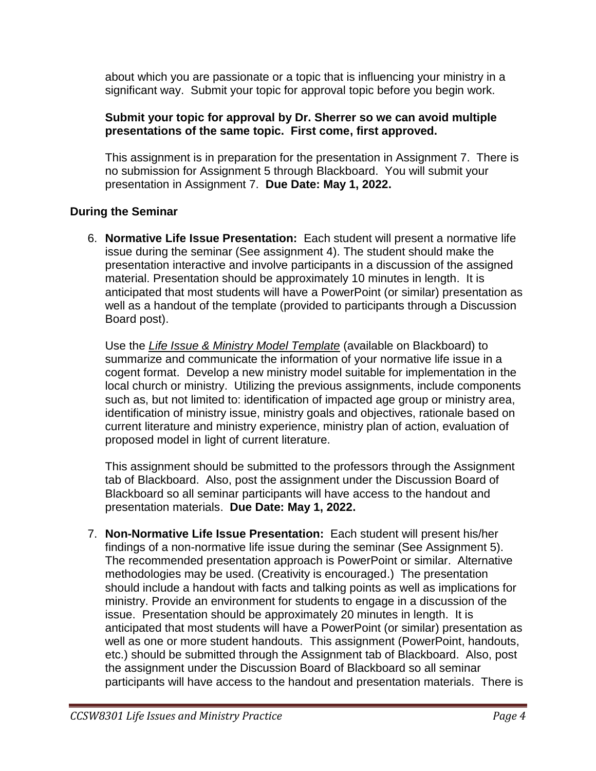about which you are passionate or a topic that is influencing your ministry in a significant way. Submit your topic for approval topic before you begin work.

#### **Submit your topic for approval by Dr. Sherrer so we can avoid multiple presentations of the same topic. First come, first approved.**

This assignment is in preparation for the presentation in Assignment 7. There is no submission for Assignment 5 through Blackboard. You will submit your presentation in Assignment 7. **Due Date: May 1, 2022.**

#### **During the Seminar**

6. **Normative Life Issue Presentation:** Each student will present a normative life issue during the seminar (See assignment 4). The student should make the presentation interactive and involve participants in a discussion of the assigned material. Presentation should be approximately 10 minutes in length. It is anticipated that most students will have a PowerPoint (or similar) presentation as well as a handout of the template (provided to participants through a Discussion Board post).

Use the *Life Issue & Ministry Model Template* (available on Blackboard) to summarize and communicate the information of your normative life issue in a cogent format. Develop a new ministry model suitable for implementation in the local church or ministry. Utilizing the previous assignments, include components such as, but not limited to: identification of impacted age group or ministry area, identification of ministry issue, ministry goals and objectives, rationale based on current literature and ministry experience, ministry plan of action, evaluation of proposed model in light of current literature.

This assignment should be submitted to the professors through the Assignment tab of Blackboard. Also, post the assignment under the Discussion Board of Blackboard so all seminar participants will have access to the handout and presentation materials. **Due Date: May 1, 2022.**

7. **Non-Normative Life Issue Presentation:** Each student will present his/her findings of a non-normative life issue during the seminar (See Assignment 5). The recommended presentation approach is PowerPoint or similar. Alternative methodologies may be used. (Creativity is encouraged.) The presentation should include a handout with facts and talking points as well as implications for ministry. Provide an environment for students to engage in a discussion of the issue. Presentation should be approximately 20 minutes in length. It is anticipated that most students will have a PowerPoint (or similar) presentation as well as one or more student handouts. This assignment (PowerPoint, handouts, etc.) should be submitted through the Assignment tab of Blackboard. Also, post the assignment under the Discussion Board of Blackboard so all seminar participants will have access to the handout and presentation materials. There is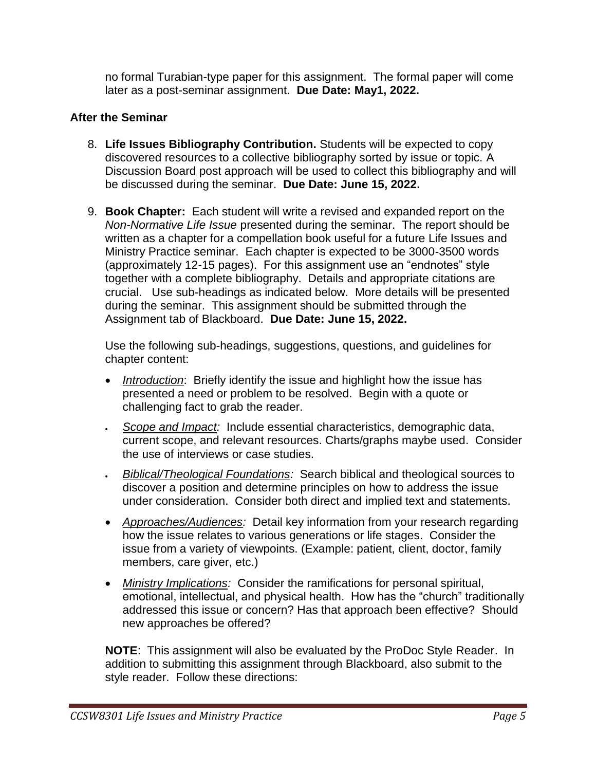no formal Turabian-type paper for this assignment. The formal paper will come later as a post-seminar assignment. **Due Date: May1, 2022.**

#### **After the Seminar**

- 8. **Life Issues Bibliography Contribution.** Students will be expected to copy discovered resources to a collective bibliography sorted by issue or topic. A Discussion Board post approach will be used to collect this bibliography and will be discussed during the seminar. **Due Date: June 15, 2022.**
- 9. **Book Chapter:** Each student will write a revised and expanded report on the *Non-Normative Life Issue* presented during the seminar. The report should be written as a chapter for a compellation book useful for a future Life Issues and Ministry Practice seminar. Each chapter is expected to be 3000-3500 words (approximately 12-15 pages). For this assignment use an "endnotes" style together with a complete bibliography. Details and appropriate citations are crucial. Use sub-headings as indicated below. More details will be presented during the seminar. This assignment should be submitted through the Assignment tab of Blackboard. **Due Date: June 15, 2022.**

Use the following sub-headings, suggestions, questions, and guidelines for chapter content:

- *Introduction*: Briefly identify the issue and highlight how the issue has presented a need or problem to be resolved. Begin with a quote or challenging fact to grab the reader.
- *Scope and Impact:* Include essential characteristics, demographic data, current scope, and relevant resources. Charts/graphs maybe used. Consider the use of interviews or case studies.
- *Biblical/Theological Foundations:* Search biblical and theological sources to discover a position and determine principles on how to address the issue under consideration. Consider both direct and implied text and statements.
- *Approaches/Audiences:* Detail key information from your research regarding how the issue relates to various generations or life stages. Consider the issue from a variety of viewpoints. (Example: patient, client, doctor, family members, care giver, etc.)
- *Ministry Implications:* Consider the ramifications for personal spiritual, emotional, intellectual, and physical health. How has the "church" traditionally addressed this issue or concern? Has that approach been effective? Should new approaches be offered?

**NOTE**: This assignment will also be evaluated by the ProDoc Style Reader. In addition to submitting this assignment through Blackboard, also submit to the style reader. Follow these directions: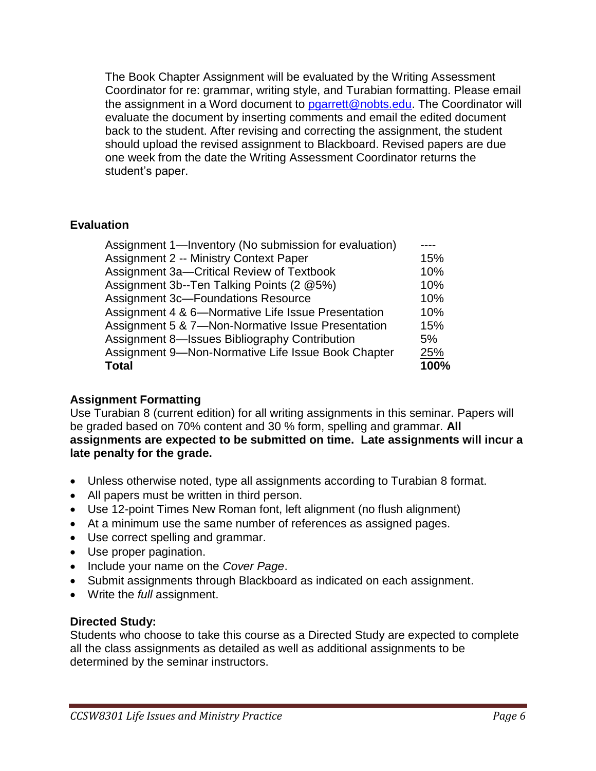The Book Chapter Assignment will be evaluated by the Writing Assessment Coordinator for re: grammar, writing style, and Turabian formatting. Please email the assignment in a Word document to [pgarrett@nobts.edu.](mailto:pgarrett@nobts.edu) The Coordinator will evaluate the document by inserting comments and email the edited document back to the student. After revising and correcting the assignment, the student should upload the revised assignment to Blackboard. Revised papers are due one week from the date the Writing Assessment Coordinator returns the student's paper.

#### **Evaluation**

| Assignment 1—Inventory (No submission for evaluation) |       |
|-------------------------------------------------------|-------|
| <b>Assignment 2 -- Ministry Context Paper</b>         | 15%   |
| Assignment 3a-Critical Review of Textbook             | 10%   |
| Assignment 3b--Ten Talking Points (2 @5%)             | 10%   |
| <b>Assignment 3c-Foundations Resource</b>             | 10%   |
| Assignment 4 & 6-Normative Life Issue Presentation    | 10%   |
| Assignment 5 & 7-Non-Normative Issue Presentation     | 15%   |
| <b>Assignment 8-Issues Bibliography Contribution</b>  | $5\%$ |
| Assignment 9-Non-Normative Life Issue Book Chapter    | 25%   |
| <b>Total</b>                                          | 100%  |

#### **Assignment Formatting**

Use Turabian 8 (current edition) for all writing assignments in this seminar. Papers will be graded based on 70% content and 30 % form, spelling and grammar. **All assignments are expected to be submitted on time. Late assignments will incur a late penalty for the grade.**

- Unless otherwise noted, type all assignments according to Turabian 8 format.
- All papers must be written in third person.
- Use 12-point Times New Roman font, left alignment (no flush alignment)
- At a minimum use the same number of references as assigned pages.
- Use correct spelling and grammar.
- Use proper pagination.
- Include your name on the *Cover Page*.
- Submit assignments through Blackboard as indicated on each assignment.
- Write the *full* assignment.

#### **Directed Study:**

Students who choose to take this course as a Directed Study are expected to complete all the class assignments as detailed as well as additional assignments to be determined by the seminar instructors.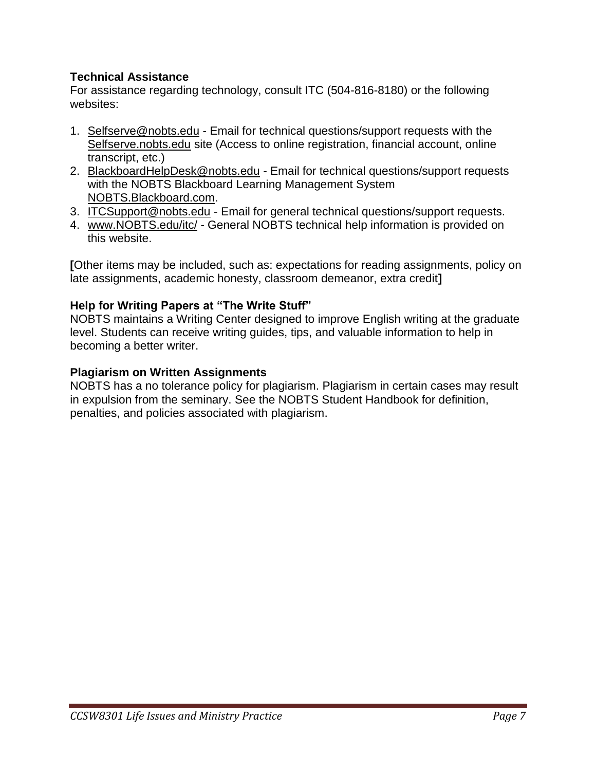#### **Technical Assistance**

For assistance regarding technology, consult ITC (504-816-8180) or the following websites:

- 1. Selfserve@nobts.edu Email for technical questions/support requests with the Selfserve.nobts.edu site (Access to online registration, financial account, online transcript, etc.)
- 2. BlackboardHelpDesk@nobts.edu Email for technical questions/support requests with the NOBTS Blackboard Learning Management System NOBTS.Blackboard.com.
- 3. ITCSupport@nobts.edu Email for general technical questions/support requests.
- 4. www.NOBTS.edu/itc/ General NOBTS technical help information is provided on this website.

**[**Other items may be included, such as: expectations for reading assignments, policy on late assignments, academic honesty, classroom demeanor, extra credit**]**

#### **Help for Writing Papers at "The Write Stuff"**

NOBTS maintains a Writing Center designed to improve English writing at the graduate level. Students can receive writing guides, tips, and valuable information to help in becoming a better writer.

#### **Plagiarism on Written Assignments**

NOBTS has a no tolerance policy for plagiarism. Plagiarism in certain cases may result in expulsion from the seminary. See the NOBTS Student Handbook for definition, penalties, and policies associated with plagiarism.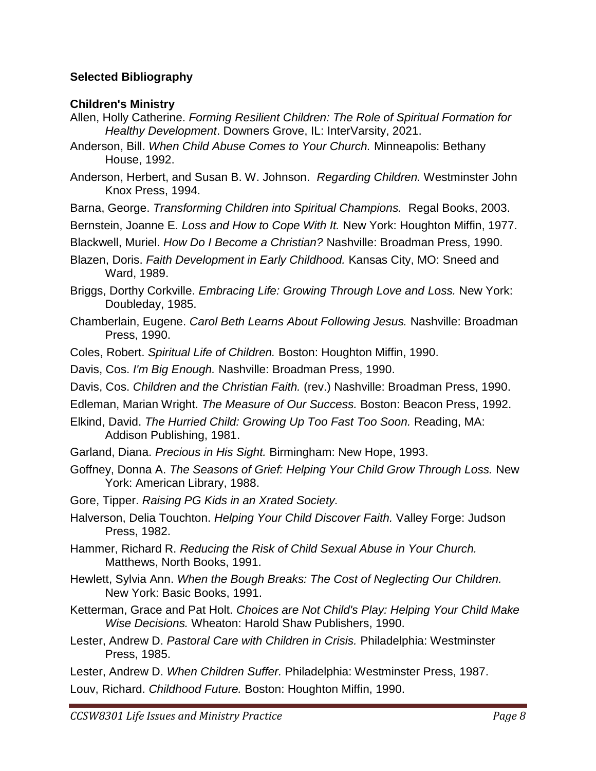#### **Selected Bibliography**

#### **Children's Ministry**

- Allen, Holly Catherine. *Forming Resilient Children: The Role of Spiritual Formation for Healthy Development*. Downers Grove, IL: InterVarsity, 2021.
- Anderson, Bill. *When Child Abuse Comes to Your Church.* Minneapolis: Bethany House, 1992.
- Anderson, Herbert, and Susan B. W. Johnson. *Regarding Children.* Westminster John Knox Press, 1994.
- Barna, George. *Transforming Children into Spiritual Champions.* Regal Books, 2003.
- Bernstein, Joanne E. *Loss and How to Cope With It.* New York: Houghton Miffin, 1977.
- Blackwell, Muriel. *How Do I Become a Christian?* Nashville: Broadman Press, 1990.
- Blazen, Doris. *Faith Development in Early Childhood.* Kansas City, MO: Sneed and Ward, 1989.
- Briggs, Dorthy Corkville. *Embracing Life: Growing Through Love and Loss.* New York: Doubleday, 1985.
- Chamberlain, Eugene. *Carol Beth Learns About Following Jesus.* Nashville: Broadman Press, 1990.
- Coles, Robert. *Spiritual Life of Children.* Boston: Houghton Miffin, 1990.
- Davis, Cos. *I'm Big Enough.* Nashville: Broadman Press, 1990.
- Davis, Cos. *Children and the Christian Faith.* (rev.) Nashville: Broadman Press, 1990.
- Edleman, Marian Wright. *The Measure of Our Success.* Boston: Beacon Press, 1992.
- Elkind, David. *The Hurried Child: Growing Up Too Fast Too Soon.* Reading, MA: Addison Publishing, 1981.
- Garland, Diana. *Precious in His Sight.* Birmingham: New Hope, 1993.
- Goffney, Donna A. *The Seasons of Grief: Helping Your Child Grow Through Loss.* New York: American Library, 1988.
- Gore, Tipper. *Raising PG Kids in an Xrated Society.*
- Halverson, Delia Touchton. *Helping Your Child Discover Faith.* Valley Forge: Judson Press, 1982.
- Hammer, Richard R. *Reducing the Risk of Child Sexual Abuse in Your Church.*  Matthews, North Books, 1991.
- Hewlett, Sylvia Ann. *When the Bough Breaks: The Cost of Neglecting Our Children.* New York: Basic Books, 1991.
- Ketterman, Grace and Pat Holt. *Choices are Not Child's Play: Helping Your Child Make Wise Decisions.* Wheaton: Harold Shaw Publishers, 1990.
- Lester, Andrew D. *Pastoral Care with Children in Crisis.* Philadelphia: Westminster Press, 1985.
- Lester, Andrew D. *When Children Suffer.* Philadelphia: Westminster Press, 1987.
- Louv, Richard. *Childhood Future.* Boston: Houghton Miffin, 1990.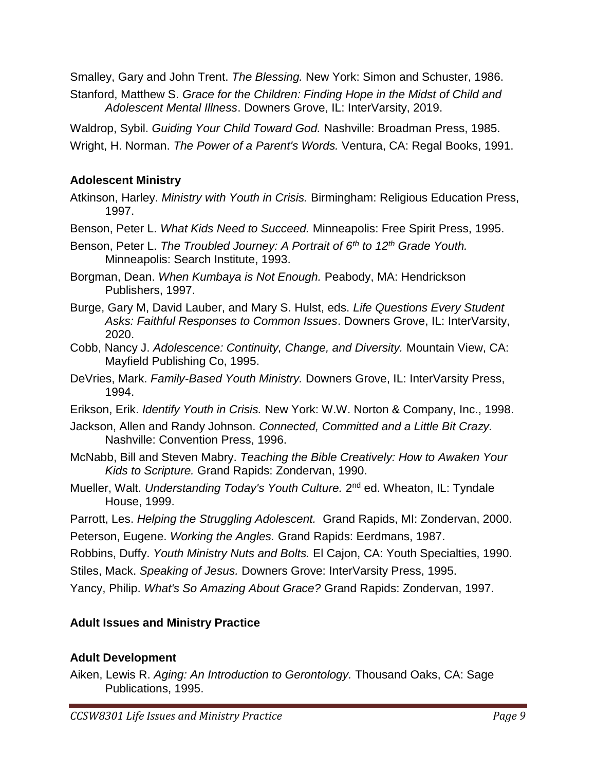Smalley, Gary and John Trent. *The Blessing.* New York: Simon and Schuster, 1986.

Stanford, Matthew S. *Grace for the Children: Finding Hope in the Midst of Child and Adolescent Mental Illness*. Downers Grove, IL: InterVarsity, 2019.

Waldrop, Sybil. *Guiding Your Child Toward God.* Nashville: Broadman Press, 1985.

Wright, H. Norman. *The Power of a Parent's Words.* Ventura, CA: Regal Books, 1991.

### **Adolescent Ministry**

- Atkinson, Harley. *Ministry with Youth in Crisis.* Birmingham: Religious Education Press, 1997.
- Benson, Peter L. *What Kids Need to Succeed.* Minneapolis: Free Spirit Press, 1995.
- Benson, Peter L. *The Troubled Journey: A Portrait of 6th to 12th Grade Youth.*  Minneapolis: Search Institute, 1993.
- Borgman, Dean. *When Kumbaya is Not Enough.* Peabody, MA: Hendrickson Publishers, 1997.
- Burge, Gary M, David Lauber, and Mary S. Hulst, eds. *Life Questions Every Student Asks: Faithful Responses to Common Issues*. Downers Grove, IL: InterVarsity, 2020.
- Cobb, Nancy J. *Adolescence: Continuity, Change, and Diversity.* Mountain View, CA: Mayfield Publishing Co, 1995.
- DeVries, Mark. *Family-Based Youth Ministry.* Downers Grove, IL: InterVarsity Press, 1994.
- Erikson, Erik. *Identify Youth in Crisis.* New York: W.W. Norton & Company, Inc., 1998.
- Jackson, Allen and Randy Johnson. *Connected, Committed and a Little Bit Crazy.*  Nashville: Convention Press, 1996.
- McNabb, Bill and Steven Mabry. *Teaching the Bible Creatively: How to Awaken Your Kids to Scripture.* Grand Rapids: Zondervan, 1990.
- Mueller, Walt. *Understanding Today's Youth Culture.* 2<sup>nd</sup> ed. Wheaton, IL: Tyndale House, 1999.
- Parrott, Les. *Helping the Struggling Adolescent.* Grand Rapids, MI: Zondervan, 2000. Peterson, Eugene. *Working the Angles.* Grand Rapids: Eerdmans, 1987.

Robbins, Duffy. *Youth Ministry Nuts and Bolts.* El Cajon, CA: Youth Specialties, 1990.

Stiles, Mack. *Speaking of Jesus.* Downers Grove: InterVarsity Press, 1995.

Yancy, Philip. *What's So Amazing About Grace?* Grand Rapids: Zondervan, 1997.

## **Adult Issues and Ministry Practice**

### **Adult Development**

Aiken, Lewis R. *Aging: An Introduction to Gerontology.* Thousand Oaks, CA: Sage Publications, 1995.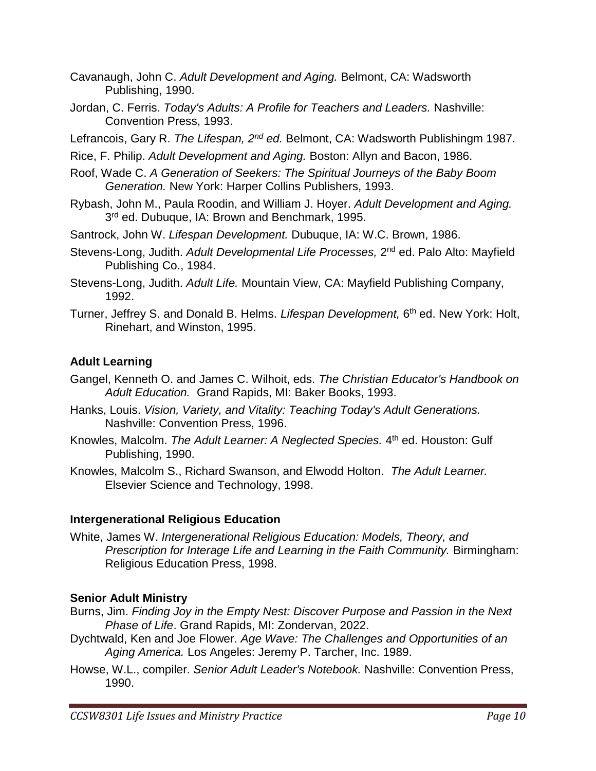- Cavanaugh, John C. *Adult Development and Aging.* Belmont, CA: Wadsworth Publishing, 1990.
- Jordan, C. Ferris. *Today's Adults: A Profile for Teachers and Leaders.* Nashville: Convention Press, 1993.

Lefrancois, Gary R. *The Lifespan, 2nd ed.* Belmont, CA: Wadsworth Publishingm 1987.

Rice, F. Philip. *Adult Development and Aging.* Boston: Allyn and Bacon, 1986.

- Roof, Wade C. *A Generation of Seekers: The Spiritual Journeys of the Baby Boom Generation.* New York: Harper Collins Publishers, 1993.
- Rybash, John M., Paula Roodin, and William J. Hoyer. *Adult Development and Aging.*  3<sup>rd</sup> ed. Dubuque, IA: Brown and Benchmark, 1995.
- Santrock, John W. *Lifespan Development.* Dubuque, IA: W.C. Brown, 1986.
- Stevens-Long, Judith. Adult Developmental Life Processes, 2<sup>nd</sup> ed. Palo Alto: Mayfield Publishing Co., 1984.

Stevens-Long, Judith. *Adult Life.* Mountain View, CA: Mayfield Publishing Company, 1992.

Turner, Jeffrey S. and Donald B. Helms. *Lifespan Development,* 6 th ed. New York: Holt, Rinehart, and Winston, 1995.

## **Adult Learning**

- Gangel, Kenneth O. and James C. Wilhoit, eds. *The Christian Educator's Handbook on Adult Education.* Grand Rapids, MI: Baker Books, 1993.
- Hanks, Louis. *Vision, Variety, and Vitality: Teaching Today's Adult Generations.*  Nashville: Convention Press, 1996.
- Knowles, Malcolm. The Adult Learner: A Neglected Species. 4<sup>th</sup> ed. Houston: Gulf Publishing, 1990.
- Knowles, Malcolm S., Richard Swanson, and Elwodd Holton. *The Adult Learner.* Elsevier Science and Technology, 1998.

### **Intergenerational Religious Education**

White, James W. *Intergenerational Religious Education: Models, Theory, and Prescription for Interage Life and Learning in the Faith Community. Birmingham:* Religious Education Press, 1998.

## **Senior Adult Ministry**

- Burns, Jim. *Finding Joy in the Empty Nest: Discover Purpose and Passion in the Next Phase of Life*. Grand Rapids, MI: Zondervan, 2022.
- Dychtwald, Ken and Joe Flower. *Age Wave: The Challenges and Opportunities of an Aging America.* Los Angeles: Jeremy P. Tarcher, Inc. 1989.
- Howse, W.L., compiler. *Senior Adult Leader's Notebook.* Nashville: Convention Press, 1990.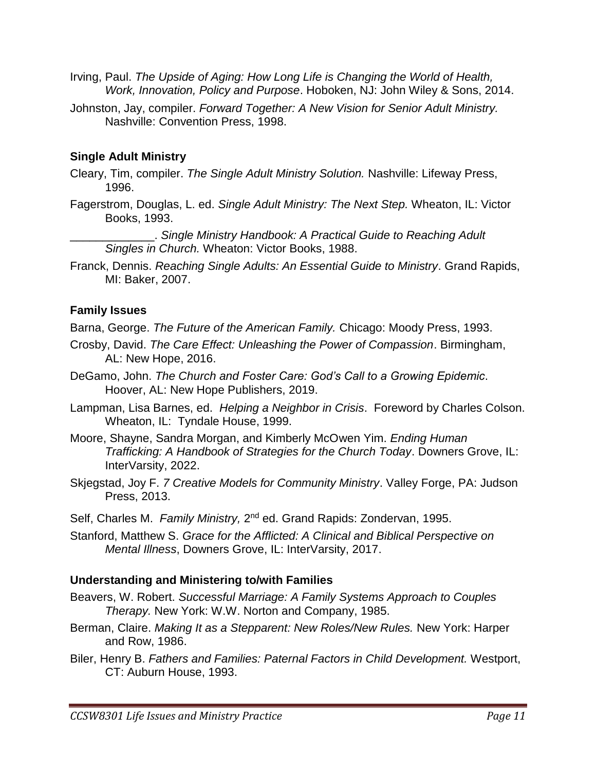- Irving, Paul. *The Upside of Aging: How Long Life is Changing the World of Health, Work, Innovation, Policy and Purpose*. Hoboken, NJ: John Wiley & Sons, 2014.
- Johnston, Jay, compiler. *Forward Together: A New Vision for Senior Adult Ministry.*  Nashville: Convention Press, 1998.

### **Single Adult Ministry**

- Cleary, Tim, compiler. *The Single Adult Ministry Solution.* Nashville: Lifeway Press, 1996.
- Fagerstrom, Douglas, L. ed. *Single Adult Ministry: The Next Step.* Wheaton, IL: Victor Books, 1993.

\_\_\_\_\_\_\_\_\_\_\_\_\_. *Single Ministry Handbook: A Practical Guide to Reaching Adult Singles in Church.* Wheaton: Victor Books, 1988.

Franck, Dennis. *Reaching Single Adults: An Essential Guide to Ministry*. Grand Rapids, MI: Baker, 2007.

#### **Family Issues**

Barna, George. *The Future of the American Family.* Chicago: Moody Press, 1993.

- Crosby, David. *The Care Effect: Unleashing the Power of Compassion*. Birmingham, AL: New Hope, 2016.
- DeGamo, John. *The Church and Foster Care: God's Call to a Growing Epidemic*. Hoover, AL: New Hope Publishers, 2019.
- Lampman, Lisa Barnes, ed. *Helping a Neighbor in Crisis*. Foreword by Charles Colson. Wheaton, IL: Tyndale House, 1999.
- Moore, Shayne, Sandra Morgan, and Kimberly McOwen Yim. *Ending Human Trafficking: A Handbook of Strategies for the Church Today*. Downers Grove, IL: InterVarsity, 2022.
- Skjegstad, Joy F. *7 Creative Models for Community Ministry*. Valley Forge, PA: Judson Press, 2013.

Self, Charles M. Family Ministry, 2<sup>nd</sup> ed. Grand Rapids: Zondervan, 1995.

Stanford, Matthew S. *Grace for the Afflicted: A Clinical and Biblical Perspective on Mental Illness*, Downers Grove, IL: InterVarsity, 2017.

#### **Understanding and Ministering to/with Families**

- Beavers, W. Robert. *Successful Marriage: A Family Systems Approach to Couples Therapy.* New York: W.W. Norton and Company, 1985.
- Berman, Claire. *Making It as a Stepparent: New Roles/New Rules.* New York: Harper and Row, 1986.
- Biler, Henry B. *Fathers and Families: Paternal Factors in Child Development.* Westport, CT: Auburn House, 1993.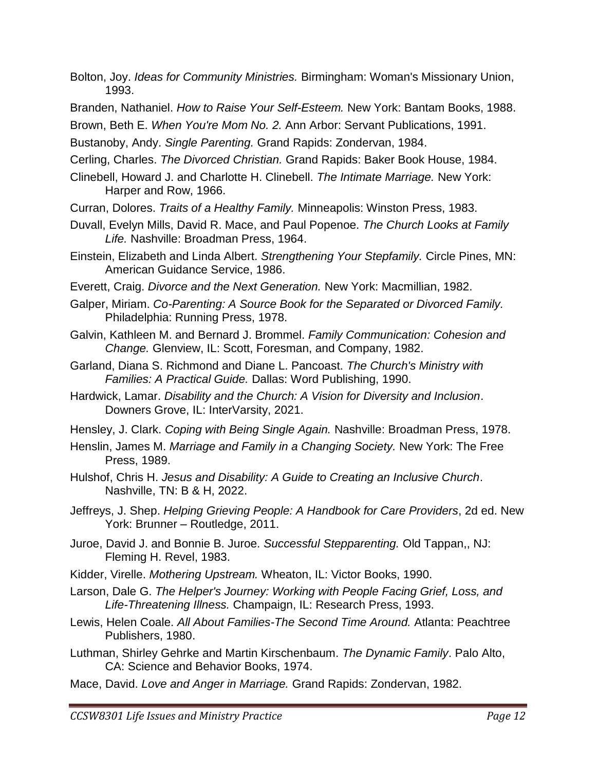- Bolton, Joy. *Ideas for Community Ministries.* Birmingham: Woman's Missionary Union, 1993.
- Branden, Nathaniel. *How to Raise Your Self-Esteem.* New York: Bantam Books, 1988.
- Brown, Beth E. *When You're Mom No. 2.* Ann Arbor: Servant Publications, 1991.
- Bustanoby, Andy. *Single Parenting.* Grand Rapids: Zondervan, 1984.
- Cerling, Charles. *The Divorced Christian.* Grand Rapids: Baker Book House, 1984.
- Clinebell, Howard J. and Charlotte H. Clinebell. *The Intimate Marriage.* New York: Harper and Row, 1966.
- Curran, Dolores. *Traits of a Healthy Family.* Minneapolis: Winston Press, 1983.
- Duvall, Evelyn Mills, David R. Mace, and Paul Popenoe. *The Church Looks at Family Life.* Nashville: Broadman Press, 1964.
- Einstein, Elizabeth and Linda Albert. *Strengthening Your Stepfamily.* Circle Pines, MN: American Guidance Service, 1986.
- Everett, Craig. *Divorce and the Next Generation.* New York: Macmillian, 1982.
- Galper, Miriam. *Co-Parenting: A Source Book for the Separated or Divorced Family.*  Philadelphia: Running Press, 1978.
- Galvin, Kathleen M. and Bernard J. Brommel. *Family Communication: Cohesion and Change.* Glenview, IL: Scott, Foresman, and Company, 1982.
- Garland, Diana S. Richmond and Diane L. Pancoast. *The Church's Ministry with Families: A Practical Guide.* Dallas: Word Publishing, 1990.
- Hardwick, Lamar. *Disability and the Church: A Vision for Diversity and Inclusion*. Downers Grove, IL: InterVarsity, 2021.
- Hensley, J. Clark. *Coping with Being Single Again.* Nashville: Broadman Press, 1978.
- Henslin, James M. *Marriage and Family in a Changing Society.* New York: The Free Press, 1989.
- Hulshof, Chris H. *Jesus and Disability: A Guide to Creating an Inclusive Church*. Nashville, TN: B & H, 2022.
- Jeffreys, J. Shep. *Helping Grieving People: A Handbook for Care Providers*, 2d ed. New York: Brunner – Routledge, 2011.
- Juroe, David J. and Bonnie B. Juroe. *Successful Stepparenting.* Old Tappan,, NJ: Fleming H. Revel, 1983.
- Kidder, Virelle. *Mothering Upstream.* Wheaton, IL: Victor Books, 1990.
- Larson, Dale G. *The Helper's Journey: Working with People Facing Grief, Loss, and Life-Threatening Illness.* Champaign, IL: Research Press, 1993.
- Lewis, Helen Coale. *All About Families-The Second Time Around.* Atlanta: Peachtree Publishers, 1980.
- Luthman, Shirley Gehrke and Martin Kirschenbaum. *The Dynamic Family*. Palo Alto, CA: Science and Behavior Books, 1974.
- Mace, David. *Love and Anger in Marriage.* Grand Rapids: Zondervan, 1982.